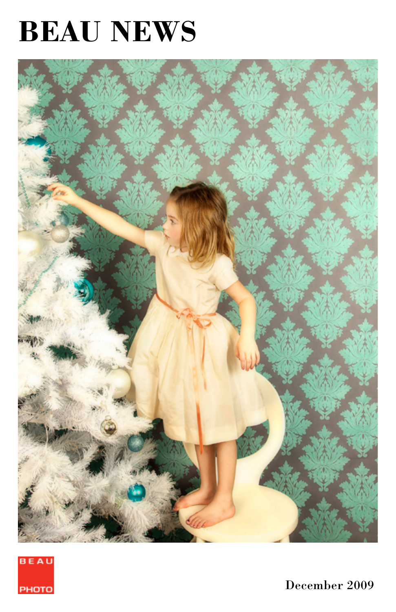# **BEAU NEWS**





December 2009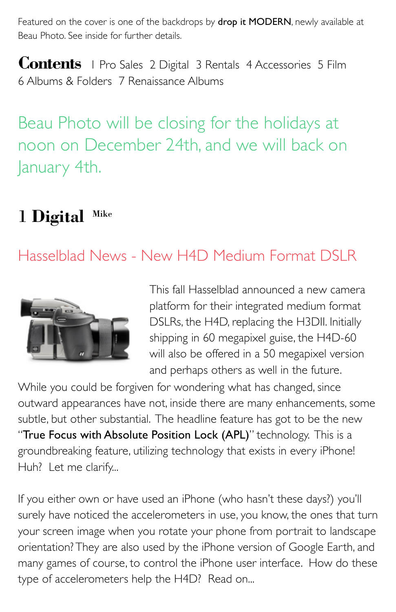Featured on the cover is one of the backdrops by **drop it MODERN**, newly available at Beau Photo. See inside for further details.

**Contents** 1 Pro Sales 2 Digital 3 Rentals 4 Accessories 5 Film 6 Albums & Folders 7 Renaissance Albums

Beau Photo will be closing for the holidays at noon on December 24th, and we will back on January 4th.

# 1 **Digital** Mike

### Hasselblad News - New H4D Medium Format DSLR



This fall Hasselblad announced a new camera platform for their integrated medium format DSLRs, the H4D, replacing the H3DII. Initially shipping in 60 megapixel guise, the H4D-60 will also be offered in a 50 megapixel version and perhaps others as well in the future.

While you could be forgiven for wondering what has changed, since outward appearances have not, inside there are many enhancements, some subtle, but other substantial. The headline feature has got to be the new "True Focus with Absolute Position Lock (APL)" technology. This is a groundbreaking feature, utilizing technology that exists in every iPhone! Huh? Let me clarify...

If you either own or have used an iPhone (who hasn't these days?) you'll surely have noticed the accelerometers in use, you know, the ones that turn your screen image when you rotate your phone from portrait to landscape orientation? They are also used by the iPhone version of Google Earth, and many games of course, to control the iPhone user interface. How do these type of accelerometers help the H4D? Read on...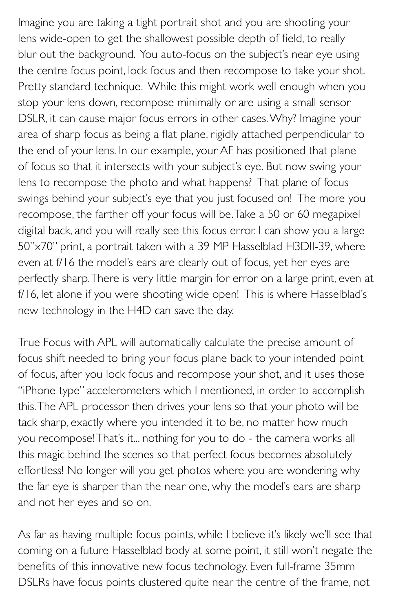Imagine you are taking a tight portrait shot and you are shooting your lens wide-open to get the shallowest possible depth of field, to really blur out the background. You auto-focus on the subject's near eye using the centre focus point, lock focus and then recompose to take your shot. Pretty standard technique. While this might work well enough when you stop your lens down, recompose minimally or are using a small sensor DSLR, it can cause major focus errors in other cases. Why? Imagine your area of sharp focus as being a flat plane, rigidly attached perpendicular to the end of your lens. In our example, your AF has positioned that plane of focus so that it intersects with your subject's eye. But now swing your lens to recompose the photo and what happens? That plane of focus swings behind your subject's eye that you just focused on! The more you recompose, the farther off your focus will be. Take a 50 or 60 megapixel digital back, and you will really see this focus error. I can show you a large 50"x70" print, a portrait taken with a 39 MP Hasselblad H3DII-39, where even at f/16 the model's ears are clearly out of focus, yet her eyes are perfectly sharp. There is very little margin for error on a large print, even at f/16, let alone if you were shooting wide open! This is where Hasselblad's new technology in the H4D can save the day.

True Focus with APL will automatically calculate the precise amount of focus shift needed to bring your focus plane back to your intended point of focus, after you lock focus and recompose your shot, and it uses those "iPhone type" accelerometers which I mentioned, in order to accomplish this. The APL processor then drives your lens so that your photo will be tack sharp, exactly where you intended it to be, no matter how much you recompose! That's it... nothing for you to do - the camera works all this magic behind the scenes so that perfect focus becomes absolutely effortless! No longer will you get photos where you are wondering why the far eye is sharper than the near one, why the model's ears are sharp and not her eyes and so on.

As far as having multiple focus points, while I believe it's likely we'll see that coming on a future Hasselblad body at some point, it still won't negate the benefits of this innovative new focus technology. Even full-frame 35mm DSLRs have focus points clustered quite near the centre of the frame, not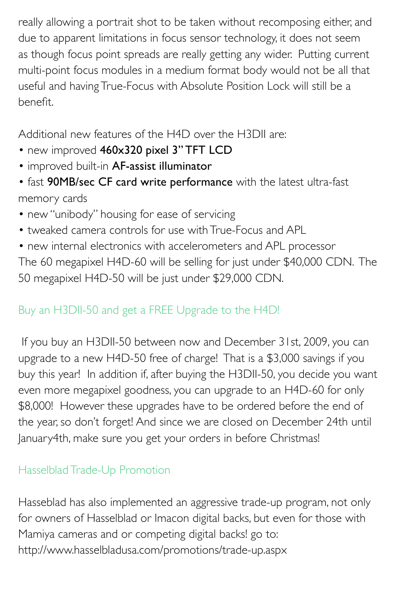really allowing a portrait shot to be taken without recomposing either, and due to apparent limitations in focus sensor technology, it does not seem as though focus point spreads are really getting any wider. Putting current multi-point focus modules in a medium format body would not be all that useful and having True-Focus with Absolute Position Lock will still be a benefit.

Additional new features of the H4D over the H3DII are:

- new improved 460x320 pixel 3" TFT LCD
- improved built-in AF-assist illuminator
- fast 90MB/sec CF card write performance with the latest ultra-fast memory cards
- new "unibody" housing for ease of servicing
- tweaked camera controls for use with True-Focus and APL
- new internal electronics with accelerometers and APL processor

The 60 megapixel H4D-60 will be selling for just under \$40,000 CDN. The 50 megapixel H4D-50 will be just under \$29,000 CDN.

### Buy an H3DII-50 and get a FREE Upgrade to the H4D!

 If you buy an H3DII-50 between now and December 31st, 2009, you can upgrade to a new H4D-50 free of charge! That is a \$3,000 savings if you buy this year! In addition if, after buying the H3DII-50, you decide you want even more megapixel goodness, you can upgrade to an H4D-60 for only \$8,000! However these upgrades have to be ordered before the end of the year, so don't forget! And since we are closed on December 24th until January4th, make sure you get your orders in before Christmas!

### Hasselblad Trade-Up Promotion

Hasseblad has also implemented an aggressive trade-up program, not only for owners of Hasselblad or Imacon digital backs, but even for those with Mamiya cameras and or competing digital backs! go to: http://www.hasselbladusa.com/promotions/trade-up.aspx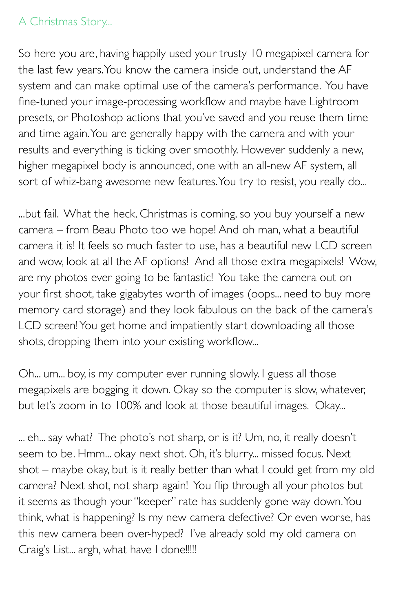### A Christmas Story...

So here you are, having happily used your trusty 10 megapixel camera for the last few years. You know the camera inside out, understand the AF system and can make optimal use of the camera's performance. You have fine-tuned your image-processing workflow and maybe have Lightroom presets, or Photoshop actions that you've saved and you reuse them time and time again. You are generally happy with the camera and with your results and everything is ticking over smoothly. However suddenly a new, higher megapixel body is announced, one with an all-new AF system, all sort of whiz-bang awesome new features. You try to resist, you really do...

...but fail. What the heck, Christmas is coming, so you buy yourself a new camera – from Beau Photo too we hope! And oh man, what a beautiful camera it is! It feels so much faster to use, has a beautiful new LCD screen and wow, look at all the AF options! And all those extra megapixels! Wow, are my photos ever going to be fantastic! You take the camera out on your first shoot, take gigabytes worth of images (oops... need to buy more memory card storage) and they look fabulous on the back of the camera's LCD screen! You get home and impatiently start downloading all those shots, dropping them into your existing workflow...

Oh... um... boy, is my computer ever running slowly. I guess all those megapixels are bogging it down. Okay so the computer is slow, whatever, but let's zoom in to 100% and look at those beautiful images. Okay...

... eh... say what? The photo's not sharp, or is it? Um, no, it really doesn't seem to be. Hmm... okay next shot. Oh, it's blurry... missed focus. Next shot – maybe okay, but is it really better than what I could get from my old camera? Next shot, not sharp again! You flip through all your photos but it seems as though your "keeper" rate has suddenly gone way down. You think, what is happening? Is my new camera defective? Or even worse, has this new camera been over-hyped? I've already sold my old camera on Craig's List... argh, what have I done!!!!!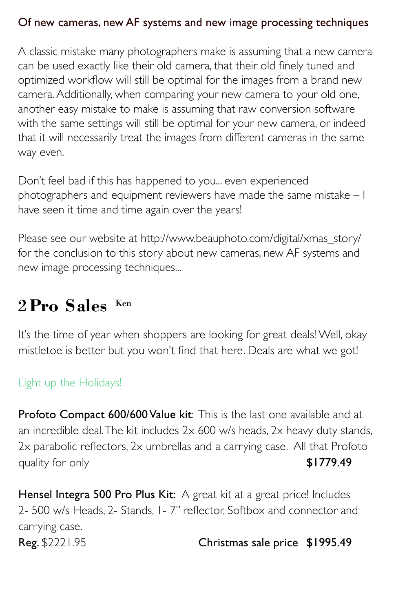#### Of new cameras, new AF systems and new image processing techniques

A classic mistake many photographers make is assuming that a new camera can be used exactly like their old camera, that their old finely tuned and optimized workflow will still be optimal for the images from a brand new camera. Additionally, when comparing your new camera to your old one, another easy mistake to make is assuming that raw conversion software with the same settings will still be optimal for your new camera, or indeed that it will necessarily treat the images from different cameras in the same way even.

Don't feel bad if this has happened to you... even experienced photographers and equipment reviewers have made the same mistake – I have seen it time and time again over the years!

Please see our website at http://www.beauphoto.com/digital/xmas\_story/ for the conclusion to this story about new cameras, new AF systems and new image processing techniques...

# 2 **Pro Sales** Ken

It's the time of year when shoppers are looking for great deals! Well, okay mistletoe is better but you won't find that here. Deals are what we got!

### Light up the Holidays!

Profoto Compact 600/600 Value kit: This is the last one available and at an incredible deal. The kit includes 2x 600 w/s heads, 2x heavy duty stands, 2x parabolic reflectors, 2x umbrellas and a carrying case. All that Profoto quality for only example the state of the state  $$1779.49$ 

Hensel Integra 500 Pro Plus Kit: A great kit at a great price! Includes 2- 500 w/s Heads, 2- Stands, 1- 7" reflector, Softbox and connector and carrying case. Reg. \$2221.95 Christmas sale price \$1995.49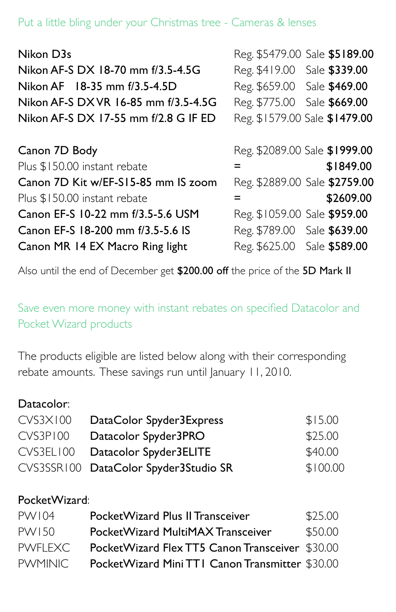#### Put a little bling under your Christmas tree - Cameras & lenses

| Nikon D3s                            |                              | Reg. \$5479.00 Sale \$5189.00 |
|--------------------------------------|------------------------------|-------------------------------|
| Nikon AF-S DX 18-70 mm f/3.5-4.5G    | Reg. \$419.00 Sale \$339.00  |                               |
| Nikon AF 18-35 mm f/3.5-4.5D         | Reg. \$659.00 Sale \$469.00  |                               |
| Nikon AF-S DX VR 16-85 mm f/3.5-4.5G | Reg. \$775.00 Sale \$669.00  |                               |
| Nikon AF-S DX 17-55 mm f/2.8 G IF ED |                              | Reg. \$1579.00 Sale \$1479.00 |
|                                      |                              |                               |
| Canon 7D Body                        |                              | Reg. \$2089.00 Sale \$1999.00 |
| Plus \$150.00 instant rebate         | =                            | \$1849.00                     |
| Canon 7D Kit w/EF-S15-85 mm IS zoom  |                              | Reg. \$2889.00 Sale \$2759.00 |
| Plus \$150.00 instant rebate         | =                            | \$2609.00                     |
| Canon EF-S 10-22 mm f/3.5-5.6 USM    | Reg. \$1059.00 Sale \$959.00 |                               |
| Canon EF-S 18-200 mm f/3.5-5.6 IS    | Reg. \$789.00 Sale \$639.00  |                               |
| Canon MR 14 EX Macro Ring light      | Reg. \$625.00 Sale \$589.00  |                               |

Also until the end of December get \$200.00 off the price of the 5D Mark II

Save even more money with instant rebates on specified Datacolor and Pocket Wizard products

The products eligible are listed below along with their corresponding rebate amounts. These savings run until January 11, 2010.

#### Datacolor:

| <b>CVS3X100</b> | DataColor Spyder3Express              | \$15.00  |
|-----------------|---------------------------------------|----------|
| CVS3P100        | Datacolor Spyder3PRO                  | \$25.00  |
| CVS3EL100       | Datacolor Spyder3ELITE                | \$40.00  |
|                 | CVS3SSR100 DataColor Spyder3Studio SR | \$100.00 |

#### PocketWizard:

| PW104          | PocketWizard Plus II Transceiver                | \$25,00 |
|----------------|-------------------------------------------------|---------|
| PW150          | PocketWizard MultiMAX Transceiver               | \$50.00 |
| <b>PWFLEXC</b> | PocketWizard Flex TT5 Canon Transceiver \$30,00 |         |
| <b>PWMINIC</b> | PocketWizard Mini TTI Canon Transmitter \$30,00 |         |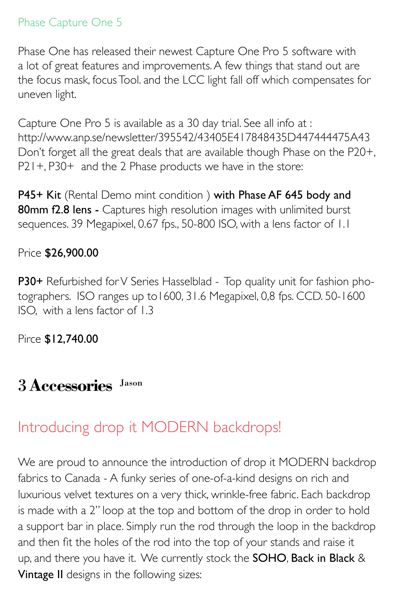### Phase Capture One 5

Phase One has released their newest Capture One Pro 5 software with a lot of great features and improvements. A few things that stand out are the focus mask, focus Tool. and the LCC light fall off which compensates for uneven light.

Capture One Pro 5 is available as a 30 day trial. See all info at : http://www.anp.se/newsletter/395542/43405E417848435D447444475A43 Don't forget all the great deals that are available though Phase on the P20+, P21+, P30+ and the 2 Phase products we have in the store:

P45+ Kit (Rental Demo mint condition) with Phase AF 645 body and 80mm f2.8 lens - Captures high resolution images with unlimited burst sequences. 39 Megapixel, 0.67 fps., 50-800 ISO, with a lens factor of 1.1

### Price \$26,900.00

P30+ Refurbished for V Series Hasselblad - Top quality unit for fashion photographers. ISO ranges up to1600, 31.6 Megapixel, 0,8 fps. CCD. 50-1600 ISO, with a lens factor of 1.3

Pirce \$12,740.00

### 3 **Accessories** Jason

### Introducing drop it MODERN backdrops!

We are proud to announce the introduction of drop it MODERN backdrop fabrics to Canada - A funky series of one-of-a-kind designs on rich and luxurious velvet textures on a very thick, wrinkle-free fabric. Each backdrop is made with a 2" loop at the top and bottom of the drop in order to hold a support bar in place. Simply run the rod through the loop in the backdrop and then fit the holes of the rod into the top of your stands and raise it up, and there you have it. We currently stock the SOHO, Back in Black & Vintage II designs in the following sizes: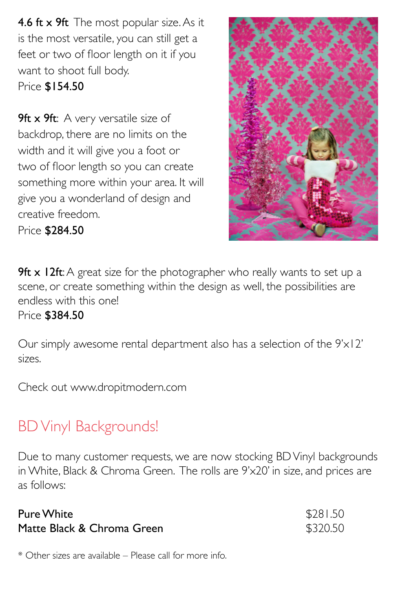4.6 ft x 9ft The most popular size. As it is the most versatile, you can still get a feet or two of floor length on it if you want to shoot full body. Price \$154.50

**9ft x 9ft:** A very versatile size of backdrop, there are no limits on the width and it will give you a foot or two of floor length so you can create something more within your area. It will give you a wonderland of design and creative freedom.

Price \$284.50



**9ft x 12ft:** A great size for the photographer who really wants to set up a scene, or create something within the design as well, the possibilities are endless with this one!

#### Price \$384.50

Our simply awesome rental department also has a selection of the 9'x12' sizes.

Check out www.dropitmodern.com

### BD Vinyl Backgrounds!

Due to many customer requests, we are now stocking BD Vinyl backgrounds in White, Black & Chroma Green. The rolls are 9'x20' in size, and prices are as follows:

| Pure White                 | \$281.50 |
|----------------------------|----------|
| Matte Black & Chroma Green | \$320.50 |

\* Other sizes are available – Please call for more info.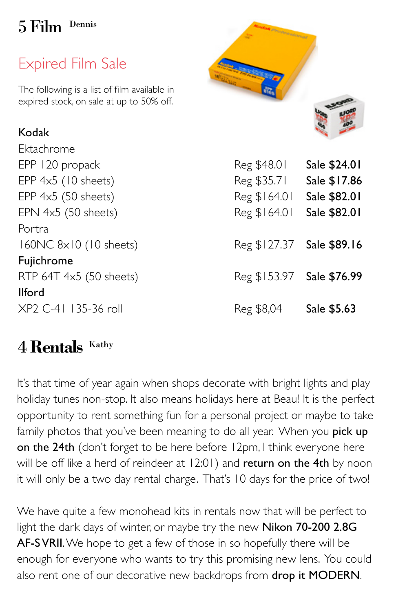# 5 Film Dennis

# Expired Film Sale

The following is a list of film available in expired stock, on sale at up to 50% off.

### Kodak

Ektachrome Portra Fujichrome Ilford XP2 C-41 135-36 roll Reg \$8,04 Sale \$5.63



### 4 **Rentals** Kathy

It's that time of year again when shops decorate with bright lights and play holiday tunes non-stop. It also means holidays here at Beau! It is the perfect opportunity to rent something fun for a personal project or maybe to take family photos that you've been meaning to do all year. When you pick up on the 24th (don't forget to be here before 12pm, I think everyone here will be off like a herd of reindeer at 12:01) and return on the 4th by noon it will only be a two day rental charge. That's 10 days for the price of two!

We have quite a few monohead kits in rentals now that will be perfect to light the dark days of winter, or maybe try the new Nikon 70-200 2.8G AF-S VRII. We hope to get a few of those in so hopefully there will be enough for everyone who wants to try this promising new lens. You could also rent one of our decorative new backdrops from drop it MODERN.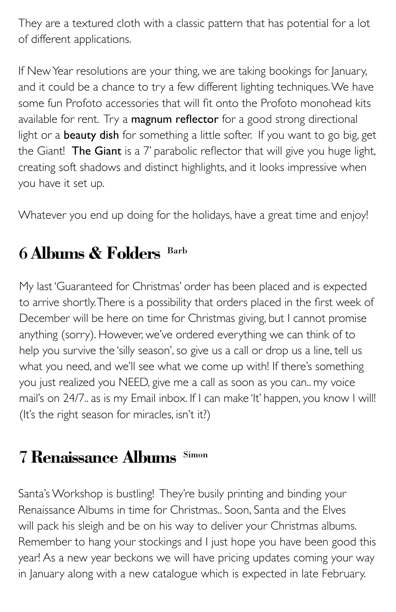They are a textured cloth with a classic pattern that has potential for a lot of different applications.

If New Year resolutions are your thing, we are taking bookings for January, and it could be a chance to try a few different lighting techniques. We have some fun Profoto accessories that will fit onto the Profoto monohead kits available for rent. Try a magnum reflector for a good strong directional light or a **beauty dish** for something a little softer. If you want to go big, get the Giant! The Giant is a 7' parabolic reflector that will give you huge light, creating soft shadows and distinct highlights, and it looks impressive when you have it set up.

Whatever you end up doing for the holidays, have a great time and enjoy!

# 6 **Albums & Folders** Barb

My last 'Guaranteed for Christmas' order has been placed and is expected to arrive shortly. There is a possibility that orders placed in the first week of December will be here on time for Christmas giving, but I cannot promise anything (sorry). However, we've ordered everything we can think of to help you survive the 'silly season', so give us a call or drop us a line, tell us what you need, and we'll see what we come up with! If there's something you just realized you NEED, give me a call as soon as you can.. my voice mail's on 24/7.. as is my Email inbox. If I can make 'It' happen, you know I will! (It's the right season for miracles, isn't it?)

# 7 **Renaissance Albums** Simon

Santa's Workshop is bustling! They're busily printing and binding your Renaissance Albums in time for Christmas.. Soon, Santa and the Elves will pack his sleigh and be on his way to deliver your Christmas albums. Remember to hang your stockings and I just hope you have been good this year! As a new year beckons we will have pricing updates coming your way in January along with a new catalogue which is expected in late February.